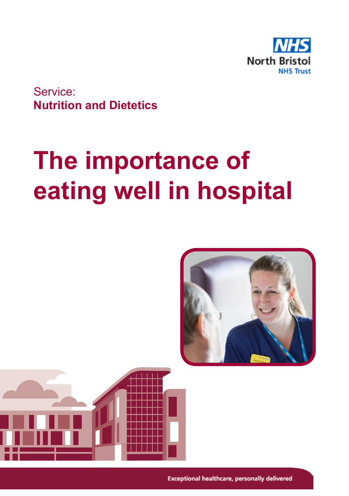

Service: **Nutrition and Dietetics**

# **The importance of eating well in hospital**

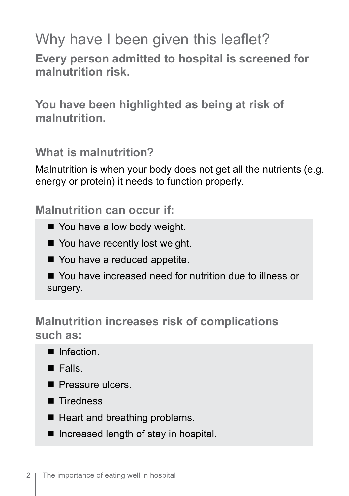# Why have I been given this leaflet?

**Every person admitted to hospital is screened for malnutrition risk.**

**You have been highlighted as being at risk of malnutrition.** 

**What is malnutrition?**

Malnutrition is when your body does not get all the nutrients (e.g. energy or protein) it needs to function properly.

**Malnutrition can occur if:**

- You have a low body weight.
- $\blacksquare$  You have recently lost weight.
- You have a reduced appetite.

■ You have increased need for nutrition due to illness or surgery.

#### **Malnutrition increases risk of complications such as:**



- $\blacksquare$  Falls.
- Pressure ulcers
- Tiredness
- $\blacksquare$  Heart and breathing problems.
- $\blacksquare$  Increased length of stay in hospital.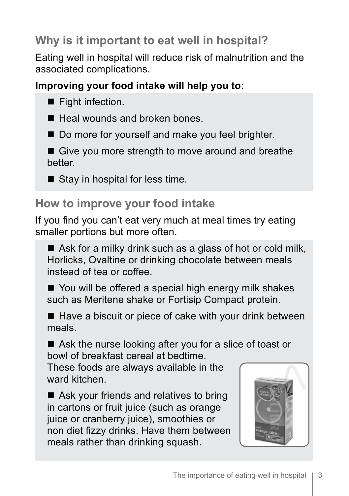# **Why is it important to eat well in hospital?**

Eating well in hospital will reduce risk of malnutrition and the associated complications.

#### **Improving your food intake will help you to:**

- $\blacksquare$  Fight infection.
- $\blacksquare$  Heal wounds and broken bones.
- Do more for yourself and make you feel brighter.
- $\blacksquare$  Give you more strength to move around and breathe better.
- $\blacksquare$  Stay in hospital for less time.

# **How to improve your food intake**

If you find you can't eat very much at meal times try eating smaller portions but more often.

 $\blacksquare$  Ask for a milky drink such as a glass of hot or cold milk, Horlicks, Ovaltine or drinking chocolate between meals instead of tea or coffee.

 $\blacksquare$  You will be offered a special high energy milk shakes such as Meritene shake or Fortisip Compact protein.

 $\blacksquare$  Have a biscuit or piece of cake with your drink between meals.

 $\blacksquare$  Ask the nurse looking after you for a slice of toast or bowl of breakfast cereal at bedtime.

These foods are always available in the ward kitchen.

 $\blacksquare$  Ask your friends and relatives to bring in cartons or fruit juice (such as orange juice or cranberry juice), smoothies or non diet fizzy drinks. Have them between meals rather than drinking squash.

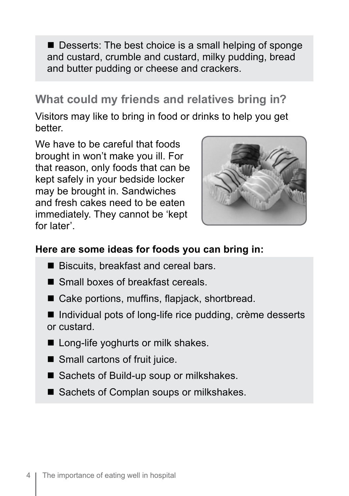$\blacksquare$  Desserts: The best choice is a small helping of sponge and custard, crumble and custard, milky pudding, bread and butter pudding or cheese and crackers.

### **What could my friends and relatives bring in?**

Visitors may like to bring in food or drinks to help you get better.

We have to be careful that foods brought in won't make you ill. For that reason, only foods that can be kept safely in your bedside locker may be brought in. Sandwiches and fresh cakes need to be eaten immediately. They cannot be 'kept for later'.



#### **Here are some ideas for foods you can bring in:**

- Biscuits, breakfast and cereal bars.
- $\blacksquare$  Small boxes of breakfast cereals.
- Cake portions, muffins, flapjack, shortbread.
- $\blacksquare$  Individual pots of long-life rice pudding, crème desserts or custard.
- Long-life yoghurts or milk shakes.
- $\blacksquare$  Small cartons of fruit juice.
- Sachets of Build-up soup or milkshakes.
- Sachets of Complan soups or milkshakes.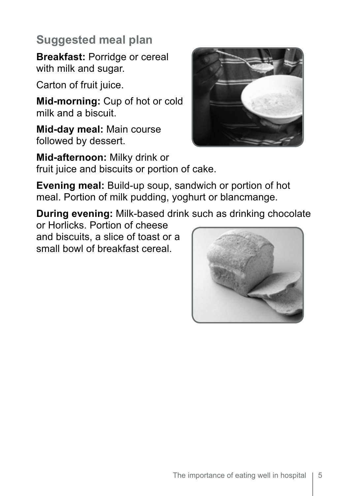# **Suggested meal plan**

**Breakfast:** Porridge or cereal with milk and sugar.

Carton of fruit juice.

**Mid-morning:** Cup of hot or cold milk and a biscuit.

**Mid-day meal:** Main course followed by dessert.

**Mid-afternoon:** Milky drink or fruit juice and biscuits or portion of cake.

**Evening meal:** Build-up soup, sandwich or portion of hot meal. Portion of milk pudding, yoghurt or blancmange.

**During evening:** Milk-based drink such as drinking chocolate

or Horlicks. Portion of cheese and biscuits, a slice of toast or a small bowl of breakfast cereal.



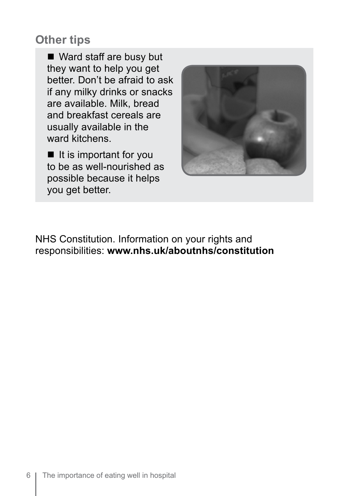#### **Other tips**

 $\blacksquare$  Ward staff are busy but they want to help you get better. Don't be afraid to ask if any milky drinks or snacks are available. Milk, bread and breakfast cereals are usually available in the ward kitchens.

 $\blacksquare$  It is important for you to be as well-nourished as possible because it helps you get better.



NHS Constitution. Information on your rights and responsibilities: **www.nhs.uk/aboutnhs/constitution**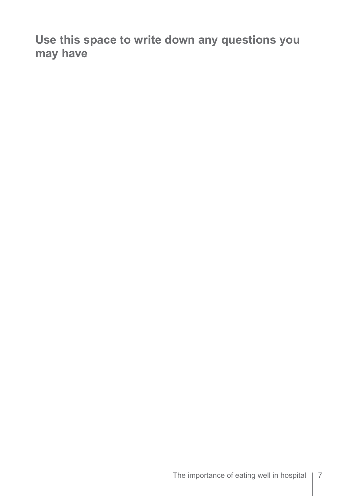**Use this space to write down any questions you may have**